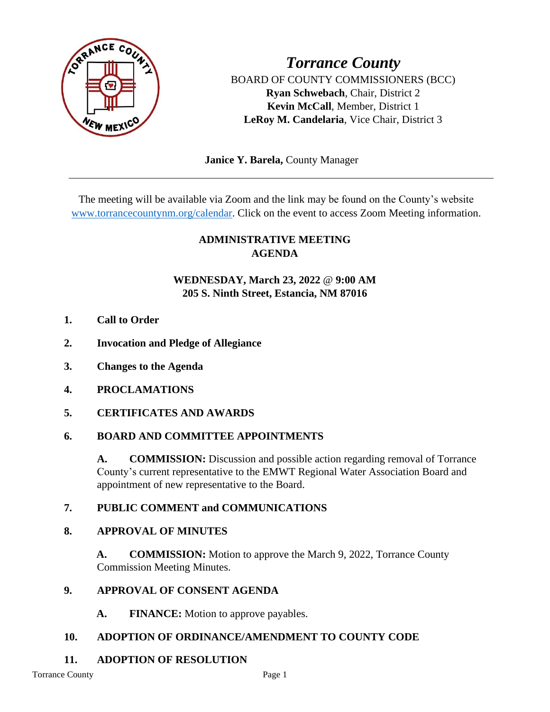

*Torrance County* BOARD OF COUNTY COMMISSIONERS (BCC) **Ryan Schwebach**, Chair, District 2 **Kevin McCall**, Member, District 1 **LeRoy M. Candelaria**, Vice Chair, District 3

 **Janice Y. Barela,** County Manager

The meeting will be available via Zoom and the link may be found on the County's website [www.torrancecountynm.org/calendar.](http://www.torrancecountynm.org/calendar) Click on the event to access Zoom Meeting information.

# **ADMINISTRATIVE MEETING AGENDA**

## **WEDNESDAY, March 23, 2022** @ **9:00 AM 205 S. Ninth Street, Estancia, NM 87016**

- **1. Call to Order**
- **2. Invocation and Pledge of Allegiance**
- **3. Changes to the Agenda**
- **4. PROCLAMATIONS**
- **5. CERTIFICATES AND AWARDS**

### **6. BOARD AND COMMITTEE APPOINTMENTS**

A. **COMMISSION:** Discussion and possible action regarding removal of Torrance County's current representative to the EMWT Regional Water Association Board and appointment of new representative to the Board.

### **7. PUBLIC COMMENT and COMMUNICATIONS**

### **8. APPROVAL OF MINUTES**

**A. COMMISSION:** Motion to approve the March 9, 2022, Torrance County Commission Meeting Minutes.

### **9. APPROVAL OF CONSENT AGENDA**

**A. FINANCE:** Motion to approve payables.

# **10. ADOPTION OF ORDINANCE/AMENDMENT TO COUNTY CODE**

# **11. ADOPTION OF RESOLUTION**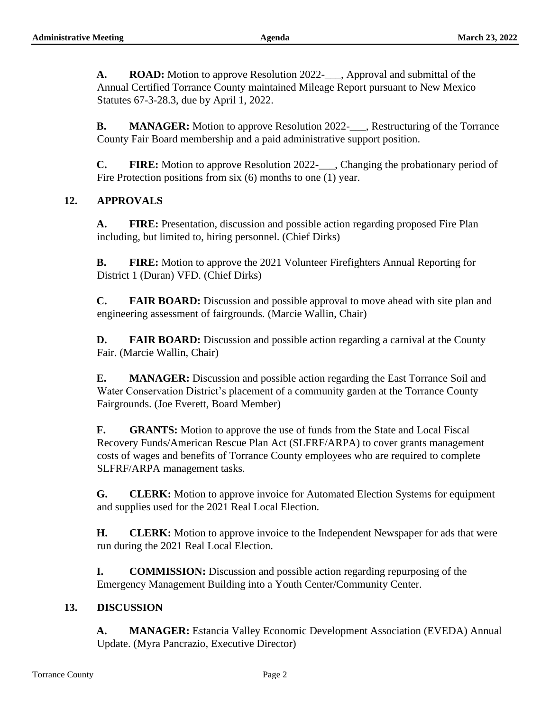**A. ROAD:** Motion to approve Resolution 2022-, Approval and submittal of the Annual Certified Torrance County maintained Mileage Report pursuant to New Mexico Statutes 67-3-28.3, due by April 1, 2022.

**B. MANAGER:** Motion to approve Resolution 2022-\_\_\_, Restructuring of the Torrance County Fair Board membership and a paid administrative support position.

**C. FIRE:** Motion to approve Resolution 2022-\_\_\_, Changing the probationary period of Fire Protection positions from six (6) months to one (1) year.

### **12. APPROVALS**

**A. FIRE:** Presentation, discussion and possible action regarding proposed Fire Plan including, but limited to, hiring personnel. (Chief Dirks)

**B. FIRE:** Motion to approve the 2021 Volunteer Firefighters Annual Reporting for District 1 (Duran) VFD. (Chief Dirks)

**C. FAIR BOARD:** Discussion and possible approval to move ahead with site plan and engineering assessment of fairgrounds. (Marcie Wallin, Chair)

**D. FAIR BOARD:** Discussion and possible action regarding a carnival at the County Fair. (Marcie Wallin, Chair)

**E. MANAGER:** Discussion and possible action regarding the East Torrance Soil and Water Conservation District's placement of a community garden at the Torrance County Fairgrounds. (Joe Everett, Board Member)

**F. GRANTS:** Motion to approve the use of funds from the State and Local Fiscal Recovery Funds/American Rescue Plan Act (SLFRF/ARPA) to cover grants management costs of wages and benefits of Torrance County employees who are required to complete SLFRF/ARPA management tasks.

**G. CLERK:** Motion to approve invoice for Automated Election Systems for equipment and supplies used for the 2021 Real Local Election.

**H. CLERK:** Motion to approve invoice to the Independent Newspaper for ads that were run during the 2021 Real Local Election.

**I. COMMISSION:** Discussion and possible action regarding repurposing of the Emergency Management Building into a Youth Center/Community Center.

### **13. DISCUSSION**

**A. MANAGER:** Estancia Valley Economic Development Association (EVEDA) Annual Update. (Myra Pancrazio, Executive Director)